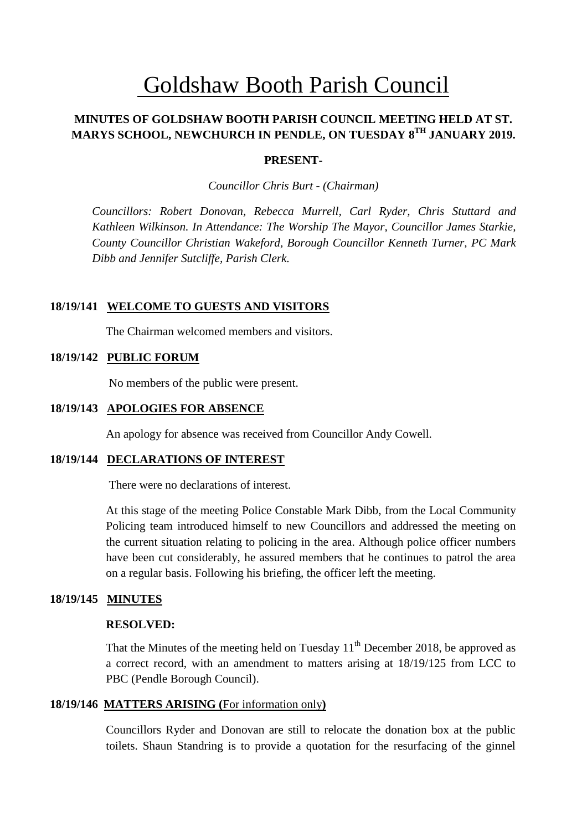# Goldshaw Booth Parish Council

# **MINUTES OF GOLDSHAW BOOTH PARISH COUNCIL MEETING HELD AT ST. MARYS SCHOOL, NEWCHURCH IN PENDLE, ON TUESDAY 8 TH JANUARY 2019.**

#### **PRESENT-**

*Councillor Chris Burt - (Chairman)*

*Councillors: Robert Donovan, Rebecca Murrell, Carl Ryder, Chris Stuttard and Kathleen Wilkinson. In Attendance: The Worship The Mayor, Councillor James Starkie, County Councillor Christian Wakeford, Borough Councillor Kenneth Turner, PC Mark Dibb and Jennifer Sutcliffe, Parish Clerk.*

#### **18/19/141 WELCOME TO GUESTS AND VISITORS**

The Chairman welcomed members and visitors.

#### **18/19/142 PUBLIC FORUM**

No members of the public were present.

#### **18/19/143 APOLOGIES FOR ABSENCE**

An apology for absence was received from Councillor Andy Cowell*.*

#### **18/19/144 DECLARATIONS OF INTEREST**

There were no declarations of interest.

At this stage of the meeting Police Constable Mark Dibb, from the Local Community Policing team introduced himself to new Councillors and addressed the meeting on the current situation relating to policing in the area. Although police officer numbers have been cut considerably, he assured members that he continues to patrol the area on a regular basis. Following his briefing, the officer left the meeting.

#### **18/19/145 MINUTES**

#### **RESOLVED:**

That the Minutes of the meeting held on Tuesday  $11<sup>th</sup>$  December 2018, be approved as a correct record, with an amendment to matters arising at 18/19/125 from LCC to PBC (Pendle Borough Council).

#### **18/19/146 MATTERS ARISING (**For information only**)**

Councillors Ryder and Donovan are still to relocate the donation box at the public toilets. Shaun Standring is to provide a quotation for the resurfacing of the ginnel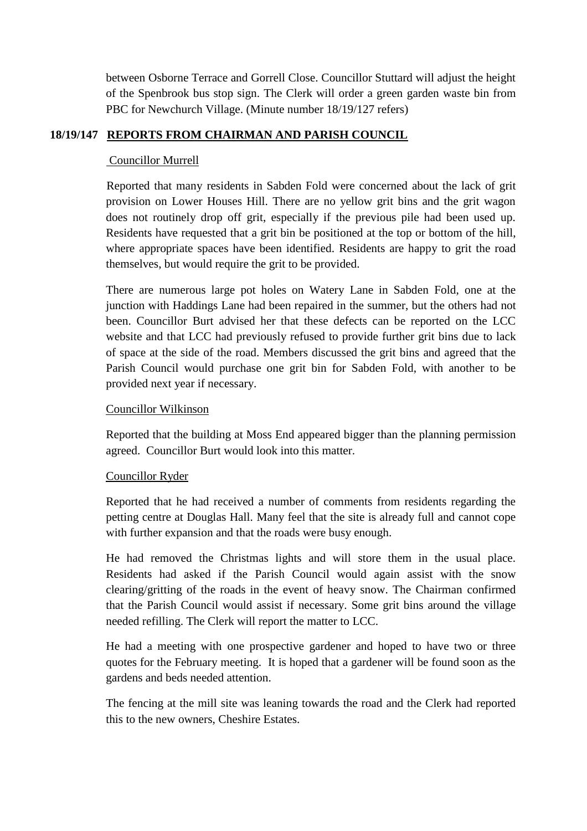between Osborne Terrace and Gorrell Close. Councillor Stuttard will adjust the height of the Spenbrook bus stop sign. The Clerk will order a green garden waste bin from PBC for Newchurch Village. (Minute number 18/19/127 refers)

# **18/19/147 REPORTS FROM CHAIRMAN AND PARISH COUNCIL**

### Councillor Murrell

Reported that many residents in Sabden Fold were concerned about the lack of grit provision on Lower Houses Hill. There are no yellow grit bins and the grit wagon does not routinely drop off grit, especially if the previous pile had been used up. Residents have requested that a grit bin be positioned at the top or bottom of the hill, where appropriate spaces have been identified. Residents are happy to grit the road themselves, but would require the grit to be provided.

There are numerous large pot holes on Watery Lane in Sabden Fold, one at the junction with Haddings Lane had been repaired in the summer, but the others had not been. Councillor Burt advised her that these defects can be reported on the LCC website and that LCC had previously refused to provide further grit bins due to lack of space at the side of the road. Members discussed the grit bins and agreed that the Parish Council would purchase one grit bin for Sabden Fold, with another to be provided next year if necessary.

#### Councillor Wilkinson

Reported that the building at Moss End appeared bigger than the planning permission agreed. Councillor Burt would look into this matter.

#### Councillor Ryder

Reported that he had received a number of comments from residents regarding the petting centre at Douglas Hall. Many feel that the site is already full and cannot cope with further expansion and that the roads were busy enough.

He had removed the Christmas lights and will store them in the usual place. Residents had asked if the Parish Council would again assist with the snow clearing/gritting of the roads in the event of heavy snow. The Chairman confirmed that the Parish Council would assist if necessary. Some grit bins around the village needed refilling. The Clerk will report the matter to LCC.

He had a meeting with one prospective gardener and hoped to have two or three quotes for the February meeting. It is hoped that a gardener will be found soon as the gardens and beds needed attention.

The fencing at the mill site was leaning towards the road and the Clerk had reported this to the new owners, Cheshire Estates.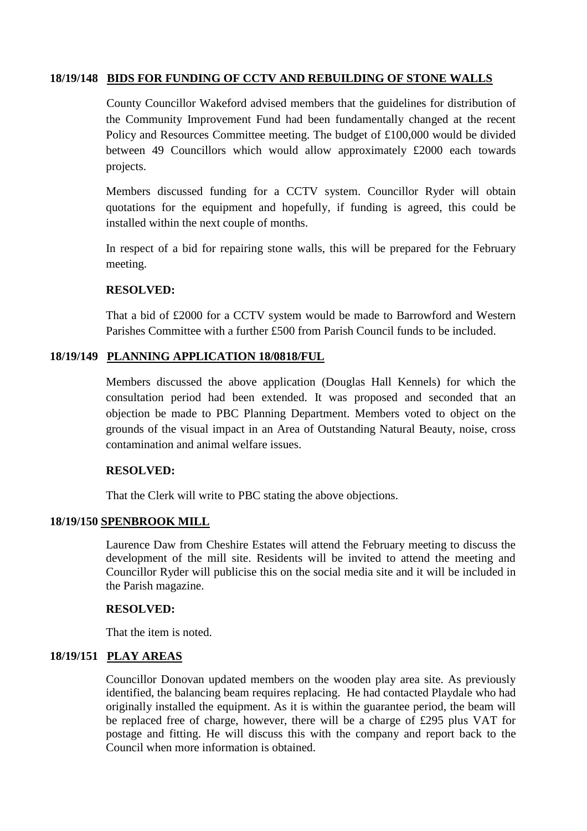#### **18/19/148 BIDS FOR FUNDING OF CCTV AND REBUILDING OF STONE WALLS**

County Councillor Wakeford advised members that the guidelines for distribution of the Community Improvement Fund had been fundamentally changed at the recent Policy and Resources Committee meeting. The budget of £100,000 would be divided between 49 Councillors which would allow approximately £2000 each towards projects.

Members discussed funding for a CCTV system. Councillor Ryder will obtain quotations for the equipment and hopefully, if funding is agreed, this could be installed within the next couple of months.

In respect of a bid for repairing stone walls, this will be prepared for the February meeting.

#### **RESOLVED:**

That a bid of £2000 for a CCTV system would be made to Barrowford and Western Parishes Committee with a further £500 from Parish Council funds to be included.

#### **18/19/149 PLANNING APPLICATION 18/0818/FUL**

Members discussed the above application (Douglas Hall Kennels) for which the consultation period had been extended. It was proposed and seconded that an objection be made to PBC Planning Department. Members voted to object on the grounds of the visual impact in an Area of Outstanding Natural Beauty, noise, cross contamination and animal welfare issues.

#### **RESOLVED:**

That the Clerk will write to PBC stating the above objections.

#### **18/19/150 SPENBROOK MILL**

Laurence Daw from Cheshire Estates will attend the February meeting to discuss the development of the mill site. Residents will be invited to attend the meeting and Councillor Ryder will publicise this on the social media site and it will be included in the Parish magazine.

#### **RESOLVED:**

That the item is noted.

# **18/19/151 PLAY AREAS**

Councillor Donovan updated members on the wooden play area site. As previously identified, the balancing beam requires replacing. He had contacted Playdale who had originally installed the equipment. As it is within the guarantee period, the beam will be replaced free of charge, however, there will be a charge of £295 plus VAT for postage and fitting. He will discuss this with the company and report back to the Council when more information is obtained.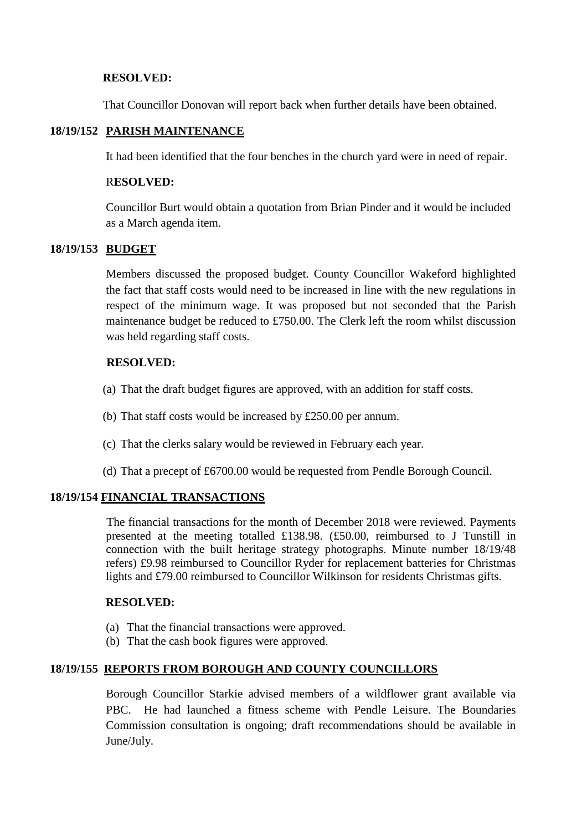#### **RESOLVED:**

That Councillor Donovan will report back when further details have been obtained.

#### **18/19/152 PARISH MAINTENANCE**

It had been identified that the four benches in the church yard were in need of repair.

#### R**ESOLVED:**

Councillor Burt would obtain a quotation from Brian Pinder and it would be included as a March agenda item.

# **18/19/153 BUDGET**

Members discussed the proposed budget. County Councillor Wakeford highlighted the fact that staff costs would need to be increased in line with the new regulations in respect of the minimum wage. It was proposed but not seconded that the Parish maintenance budget be reduced to £750.00. The Clerk left the room whilst discussion was held regarding staff costs.

#### **RESOLVED:**

- (a) That the draft budget figures are approved, with an addition for staff costs.
- (b) That staff costs would be increased by £250.00 per annum.
- (c) That the clerks salary would be reviewed in February each year.
- (d) That a precept of £6700.00 would be requested from Pendle Borough Council.

# **18/19/154 FINANCIAL TRANSACTIONS**

The financial transactions for the month of December 2018 were reviewed. Payments presented at the meeting totalled £138.98. (£50.00, reimbursed to J Tunstill in connection with the built heritage strategy photographs. Minute number 18/19/48 refers) £9.98 reimbursed to Councillor Ryder for replacement batteries for Christmas lights and £79.00 reimbursed to Councillor Wilkinson for residents Christmas gifts.

#### **RESOLVED:**

- (a) That the financial transactions were approved.
- (b) That the cash book figures were approved.

# **18/19/155 REPORTS FROM BOROUGH AND COUNTY COUNCILLORS**

Borough Councillor Starkie advised members of a wildflower grant available via PBC. He had launched a fitness scheme with Pendle Leisure. The Boundaries Commission consultation is ongoing; draft recommendations should be available in June/July.